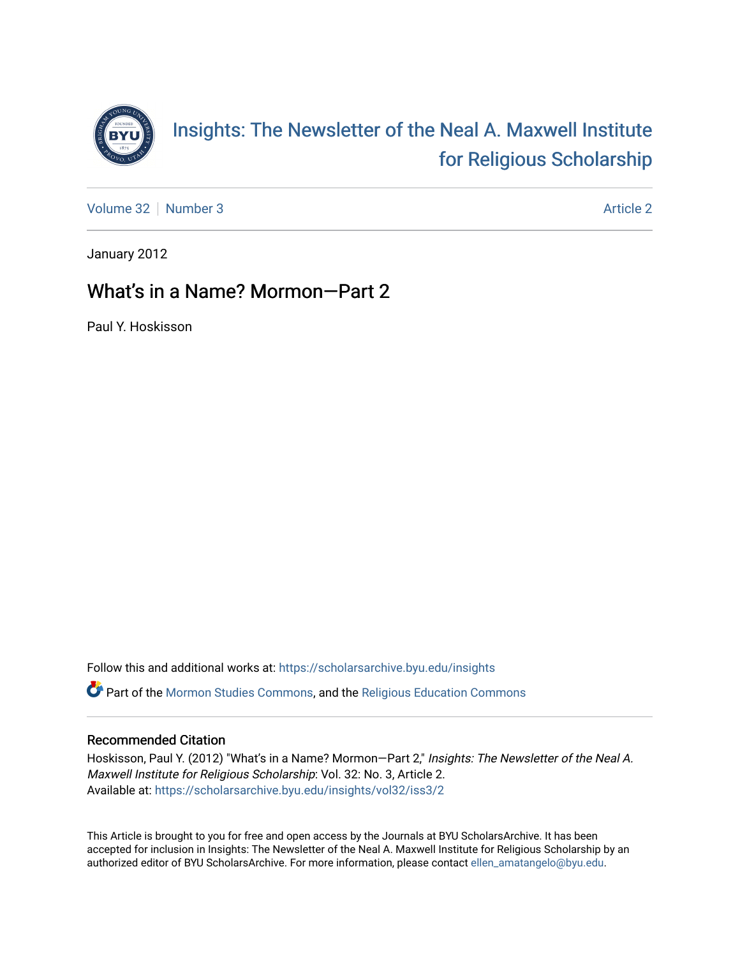

[Volume 32](https://scholarsarchive.byu.edu/insights/vol32) [Number 3](https://scholarsarchive.byu.edu/insights/vol32/iss3) [Article 2](https://scholarsarchive.byu.edu/insights/vol32/iss3/2) Article 2

January 2012

## What's in a Name? Mormon—Part 2

Paul Y. Hoskisson

Follow this and additional works at: [https://scholarsarchive.byu.edu/insights](https://scholarsarchive.byu.edu/insights?utm_source=scholarsarchive.byu.edu%2Finsights%2Fvol32%2Fiss3%2F2&utm_medium=PDF&utm_campaign=PDFCoverPages)  Part of the [Mormon Studies Commons](http://network.bepress.com/hgg/discipline/1360?utm_source=scholarsarchive.byu.edu%2Finsights%2Fvol32%2Fiss3%2F2&utm_medium=PDF&utm_campaign=PDFCoverPages), and the [Religious Education Commons](http://network.bepress.com/hgg/discipline/1414?utm_source=scholarsarchive.byu.edu%2Finsights%2Fvol32%2Fiss3%2F2&utm_medium=PDF&utm_campaign=PDFCoverPages) 

## Recommended Citation

Hoskisson, Paul Y. (2012) "What's in a Name? Mormon-Part 2," Insights: The Newsletter of the Neal A. Maxwell Institute for Religious Scholarship: Vol. 32: No. 3, Article 2. Available at: [https://scholarsarchive.byu.edu/insights/vol32/iss3/2](https://scholarsarchive.byu.edu/insights/vol32/iss3/2?utm_source=scholarsarchive.byu.edu%2Finsights%2Fvol32%2Fiss3%2F2&utm_medium=PDF&utm_campaign=PDFCoverPages) 

This Article is brought to you for free and open access by the Journals at BYU ScholarsArchive. It has been accepted for inclusion in Insights: The Newsletter of the Neal A. Maxwell Institute for Religious Scholarship by an authorized editor of BYU ScholarsArchive. For more information, please contact [ellen\\_amatangelo@byu.edu.](mailto:ellen_amatangelo@byu.edu)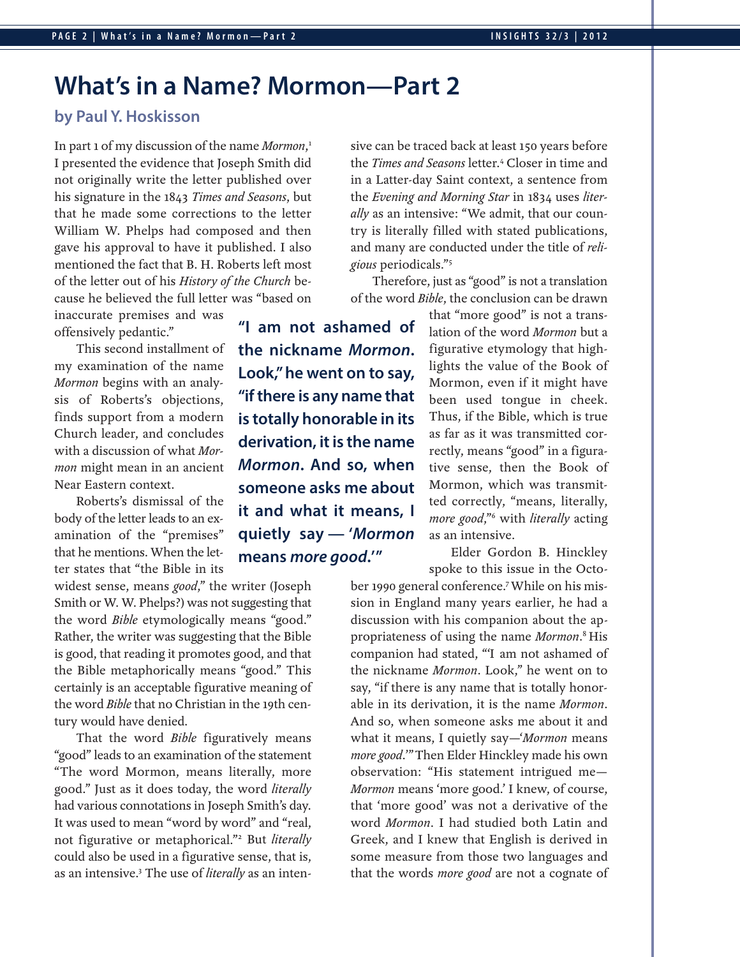# **What's in a Name? Mormon—Part 2**

## **by Paul Y. Hoskisson**

In part 1 of my discussion of the name Mormon,<sup>1</sup> I presented the evidence that Joseph Smith did not originally write the letter published over his signature in the 1843 Times and Seasons, but that he made some corrections to the letter William W. Phelps had composed and then gave his approval to have it published. I also mentioned the fact that B. H. Roberts left most of the letter out of his History of the Church because he believed the full letter was "based on

inaccurate premises and was offensively pedantic."

This second installment of my examination of the name Mormon begins with an analysis of Roberts's objections, finds support from a modern Church leader, and concludes with a discussion of what Mormon might mean in an ancient Near Eastern context.

Roberts's dismissal of the body of the letter leads to an examination of the "premises" that he mentions. When the letter states that "the Bible in its

widest sense, means *good*," the writer (Joseph Smith or W. W. Phelps?) was not suggesting that the word Bible etymologically means "good." Rather, the writer was suggesting that the Bible is good, that reading it promotes good, and that the Bible metaphorically means "good." This certainly is an acceptable figurative meaning of the word Bible that no Christian in the 19th century would have denied.

That the word *Bible* figuratively means "good" leads to an examination of the statement "The word Mormon, means literally, more good." Just as it does today, the word literally had various connotations in Joseph Smith's day. It was used to mean "word by word" and "real, not figurative or metaphorical."<sup>2</sup> But *literally* could also be used in a figurative sense, that is, as an intensive.<sup>3</sup> The use of *literally* as an inten-

**"I am not ashamed of the nickname** *Mormon***. Look," he went on to say, "if there is any name that is totally honorable in its derivation, it is the name** *Mormon***. And so, when someone asks me about it and what it means, I quietly say — '***Mormon* **means** *more good***.' "**

sive can be traced back at least 150 years before the *Times and Seasons* letter.<sup>4</sup> Closer in time and in a Latter-day Saint context, a sentence from the Evening and Morning Star in 1834 uses literally as an intensive: "We admit, that our country is literally filled with stated publications, and many are conducted under the title of religious periodicals."5

Therefore, just as "good" is not a translation of the word Bible, the conclusion can be drawn

> that "more good" is not a translation of the word Mormon but a figurative etymology that highlights the value of the Book of Mormon, even if it might have been used tongue in cheek. Thus, if the Bible, which is true as far as it was transmitted correctly, means "good" in a figurative sense, then the Book of Mormon, which was transmitted correctly, "means, literally, more good,"<sup>6</sup> with literally acting as an intensive.

> Elder Gordon B. Hinckley spoke to this issue in the Octo-

ber 1990 general conference.7 While on his mission in England many years earlier, he had a discussion with his companion about the appropriateness of using the name Mormon.<sup>8</sup> His companion had stated, "'I am not ashamed of the nickname Mormon. Look," he went on to say, "if there is any name that is totally honorable in its derivation, it is the name Mormon. And so, when someone asks me about it and what it means, I quietly say—'Mormon means more good." Then Elder Hinckley made his own observation: "His statement intrigued me— Mormon means 'more good.' I knew, of course, that 'more good' was not a derivative of the word Mormon. I had studied both Latin and Greek, and I knew that English is derived in some measure from those two languages and that the words more good are not a cognate of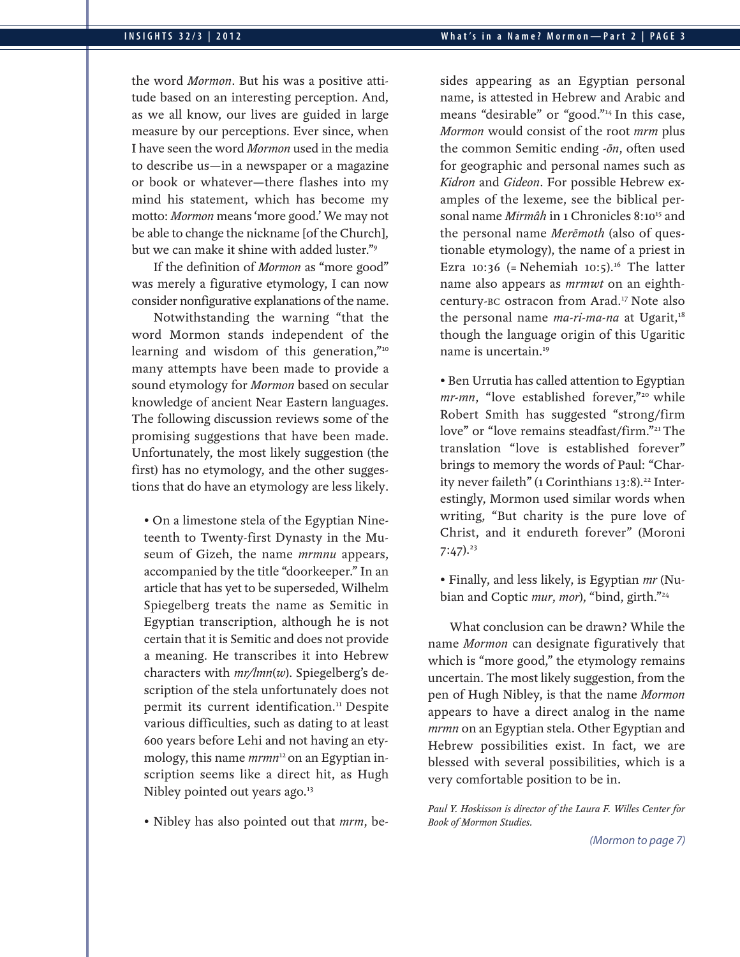the word Mormon. But his was a positive attitude based on an interesting perception. And, as we all know, our lives are guided in large measure by our perceptions. Ever since, when I have seen the word Mormon used in the media to describe us—in a newspaper or a magazine or book or whatever—there flashes into my mind his statement, which has become my motto: Mormon means 'more good.' We may not be able to change the nickname [of the Church], but we can make it shine with added luster."9

If the definition of Mormon as "more good" was merely a figurative etymology, I can now consider nonfigurative explanations of the name.

Notwithstanding the warning "that the word Mormon stands independent of the learning and wisdom of this generation,"<sup>10</sup> many attempts have been made to provide a sound etymology for Mormon based on secular knowledge of ancient Near Eastern languages. The following discussion reviews some of the promising suggestions that have been made. Unfortunately, the most likely suggestion (the first) has no etymology, and the other suggestions that do have an etymology are less likely.

• On a limestone stela of the Egyptian Nineteenth to Twenty-first Dynasty in the Museum of Gizeh, the name mrmnu appears, accompanied by the title "doorkeeper." In an article that has yet to be superseded, Wilhelm Spiegelberg treats the name as Semitic in Egyptian transcription, although he is not certain that it is Semitic and does not provide a meaning. He transcribes it into Hebrew characters with  $mr/lmn(w)$ . Spiegelberg's description of the stela unfortunately does not permit its current identification.<sup>11</sup> Despite various difficulties, such as dating to at least 600 years before Lehi and not having an etymology, this name *mrmn*<sup>12</sup> on an Egyptian inscription seems like a direct hit, as Hugh Nibley pointed out years ago.<sup>13</sup>

• Nibley has also pointed out that *mrm*, be-

sides appearing as an Egyptian personal name, is attested in Hebrew and Arabic and means "desirable" or "good."14 In this case, Mormon would consist of the root mrm plus the common Semitic ending -ōn, often used for geographic and personal names such as Kidron and Gideon. For possible Hebrew examples of the lexeme, see the biblical personal name Mirmâh in 1 Chronicles 8:10<sup>15</sup> and the personal name Merēmoth (also of questionable etymology), the name of a priest in Ezra 10:36 (= Nehemiah 10:5).<sup>16</sup> The latter name also appears as *mrmwt* on an eighthcentury-BC ostracon from Arad.17 Note also the personal name  $ma\text{-}ri\text{-}ma\text{-}na$  at Ugarit,<sup>18</sup> though the language origin of this Ugaritic name is uncertain.19

• Ben Urrutia has called attention to Egyptian mr-mn, "love established forever,"<sup>20</sup> while Robert Smith has suggested "strong/firm love" or "love remains steadfast/firm."21 The translation "love is established forever" brings to memory the words of Paul: "Charity never faileth" (1 Corinthians 13:8).<sup>22</sup> Interestingly, Mormon used similar words when writing, "But charity is the pure love of Christ, and it endureth forever" (Moroni  $7:47$ ).<sup>23</sup>

• Finally, and less likely, is Egyptian mr (Nubian and Coptic mur, mor), "bind, girth."<sup>24</sup>

What conclusion can be drawn? While the name Mormon can designate figuratively that which is "more good," the etymology remains uncertain. The most likely suggestion, from the pen of Hugh Nibley, is that the name Mormon appears to have a direct analog in the name mrmn on an Egyptian stela. Other Egyptian and Hebrew possibilities exist. In fact, we are blessed with several possibilities, which is a very comfortable position to be in.

Paul Y. Hoskisson is director of the Laura F. Willes Center for Book of Mormon Studies.

*(Mormon to page 7 )*